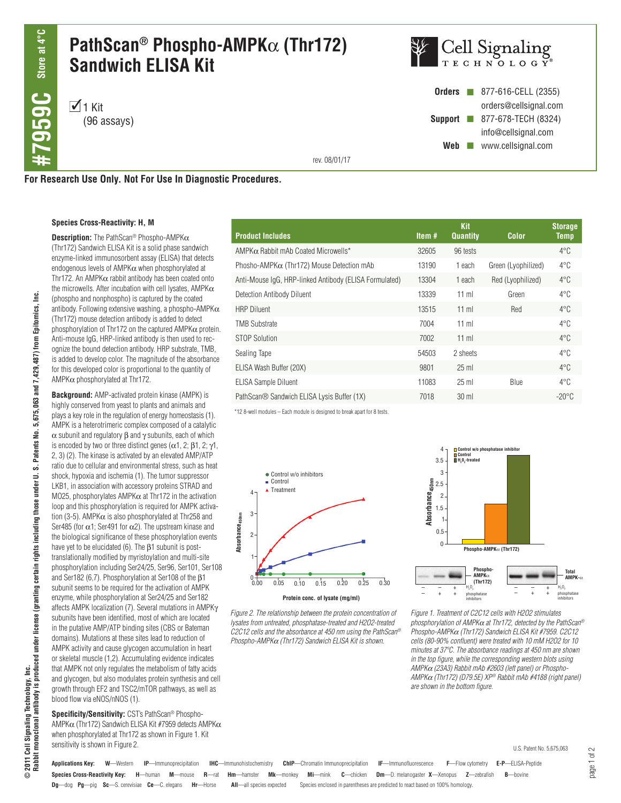# **PathScan® Phospho-AMPK**α **(Thr172) Sandwich ELISA Kit**

 $1$  Kit (96 assays)



**Orders n** 877-616-CELL (2355) orders@cellsignal.com **Support** 277-678-TECH (8324) info@cellsignal.com Web www.cellsignal.com

rev. 08/01/17

**For Research Use Only. Not For Use In Diagnostic Procedures.**

### **Species Cross-Reactivity: H, M**

ۊ **Rabbit monoclonal antibody is produced under license (granting certain rights including those under U. S. Patents No. 5,675,063 and 7,429,487) from Epitomics, Inc.** 2011 Cell Signaling Technology, Inc.<br>Rabbit monocional antibody is produced under license (granting certain rights including those under U. S. Patents No. 5,675,063 and 7,429,487) from Epitomics, **© 2011 Cell Signaling Technology, Inc.**

**Description:** The PathScan® Phospho-AMPKα (Thr172) Sandwich ELISA Kit is a solid phase sandwich enzyme-linked immunosorbent assay (ELISA) that detects endogenous levels of AMPKα when phosphorylated at Thr172. An AMPK $\alpha$  rabbit antibody has been coated onto the microwells. After incubation with cell lysates,  $AMPK\alpha$ (phospho and nonphospho) is captured by the coated antibody. Following extensive washing, a phospho-AMPK $\alpha$ (Thr172) mouse detection antibody is added to detect phosphorylation of Thr172 on the captured AMPK $\alpha$  protein. Anti-mouse IgG, HRP-linked antibody is then used to recognize the bound detection antibody. HRP substrate, TMB, is added to develop color. The magnitude of the absorbance for this developed color is proportional to the quantity of AMPKα phosphorylated at Thr172.

**Background:** AMP-activated protein kinase (AMPK) is highly conserved from yeast to plants and animals and plays a key role in the regulation of energy homeostasis (1). AMPK is a heterotrimeric complex composed of a catalytic α subunit and regulatory β and γ subunits, each of which is encoded by two or three distinct genes ( $\alpha$ 1, 2;  $\beta$ 1, 2;  $\gamma$ 1, 2, 3) (2). The kinase is activated by an elevated AMP/ATP ratio due to cellular and environmental stress, such as heat shock, hypoxia and ischemia (1). The tumor suppressor LKB1, in association with accessory proteins STRAD and MO25, phosphorylates AMPKα at Thr172 in the activation loop and this phosphorylation is required for AMPK activation (3-5). AMPK $\alpha$  is also phosphorylated at Thr258 and Ser485 (for  $\alpha$ 1; Ser491 for  $\alpha$ 2). The upstream kinase and the biological significance of these phosphorylation events have yet to be elucidated (6). The  $\beta$ 1 subunit is posttranslationally modified by myristoylation and multi-site phosphorylation including Ser24/25, Ser96, Ser101, Ser108 and Ser182 (6,7). Phosphorylation at Ser108 of the β1 subunit seems to be required for the activation of AMPK enzyme, while phosphorylation at Ser24/25 and Ser182 affects AMPK localization (7). Several mutations in AMPKγ subunits have been identified, most of which are located in the putative AMP/ATP binding sites (CBS or Bateman domains). Mutations at these sites lead to reduction of AMPK activity and cause glycogen accumulation in heart or skeletal muscle (1,2). Accumulating evidence indicates that AMPK not only regulates the metabolism of fatty acids and glycogen, but also modulates protein synthesis and cell growth through EF2 and TSC2/mTOR pathways, as well as blood flow via eNOS/nNOS (1).

**Specificity/Sensitivity:** CST's PathScan® Phospho-AMPKα (Thr172) Sandwich ELISA Kit #7959 detects AMPKα when phosphorylated at Thr172 as shown in Figure 1. Kit sensitivity is shown in Figure 2.

| <b>Product Includes</b>                                | Item $#$ | <b>Kit</b><br><b>Quantity</b> | <b>Color</b>        | <b>Storage</b><br><b>Temp</b> |
|--------------------------------------------------------|----------|-------------------------------|---------------------|-------------------------------|
| $AMPK\alpha$ Rabbit mAb Coated Microwells*             | 32605    | 96 tests                      |                     | $4^{\circ}$ C                 |
| Phosho-AMPK $\alpha$ (Thr172) Mouse Detection mAb      | 13190    | 1 each                        | Green (Lyophilized) | $4^{\circ}$ C                 |
| Anti-Mouse IgG, HRP-linked Antibody (ELISA Formulated) | 13304    | 1 each                        | Red (Lyophilized)   | $4^{\circ}$ C                 |
| Detection Antibody Diluent                             | 13339    | $11$ ml                       | Green               | $4^{\circ}$ C                 |
| <b>HRP Diluent</b>                                     | 13515    | $11$ ml                       | Red                 | $4^{\circ}$ C                 |
| <b>TMB Substrate</b>                                   | 7004     | $11$ ml                       |                     | $4^{\circ}$ C                 |
| STOP Solution                                          | 7002     | $11$ ml                       |                     | $4^{\circ}$ C                 |
| Sealing Tape                                           | 54503    | 2 sheets                      |                     | $4^{\circ}$ C                 |
| ELISA Wash Buffer (20X)                                | 9801     | $25$ ml                       |                     | $4^{\circ}$ C                 |
| <b>ELISA Sample Diluent</b>                            | 11083    | $25$ ml                       | Blue                | $4^{\circ}$ C                 |
| PathScan® Sandwich ELISA Lysis Buffer (1X)             | 7018     | $30 \text{ ml}$               |                     | $-20^{\circ}$ C               |

\*12 8-well modules – Each module is designed to break apart for 8 tests.



*Figure 2. The relationship between the protein concentration of lysates from untreated, phosphatase-treated and H2O2-treated C2C12 cells and the absorbance at 450 nm using the PathScan® Phospho-AMPK*α *(Thr172) Sandwich ELISA Kit is shown.*

**Applications Key: W**—Western **IP**—Immunoprecipitation **IHC**—Immunohistochemistry **ChIP**—Chromatin Immunoprecipitation **IF**—Immunofluorescence **F**—Flow cytometry **E-P**—ELISA-Peptide



*Figure 1. Treatment of C2C12 cells with H2O2 stimulates phosphorylation of AMPK*α *at Thr172, detected by the PathScan® Phospho-AMPK*α *(Thr172) Sandwich ELISA Kit #7959. C2C12 cells (80-90% confluent) were treated with 10 mM H2O2 for 10 minutes at 37ºC. The absorbance readings at 450 nm are shown in the top figure, while the corresponding western blots using AMPK*α *(23A3) Rabbit mAb #2603 (left panel) or Phospho-AMPK*α *(Thr172) (D79.5E) XP® Rabbit mAb #4188 (right panel) are shown in the bottom figure.*

**Species Cross-Reactivity Key: H**—human **M**—mouse **R**—rat **Hm**—hamster **Mk**—monkey **Mi**—mink **C**—chicken **Dm**—D. melanogaster **X**—Xenopus **Z**—zebrafish **B**—bovine

**Dg**—dog **Pg**—pig **Sc**—S. cerevisiae **Ce**—C. elegans **Hr**—Horse **All**—all species expected Species enclosed in parentheses are predicted to react based on 100% homology.